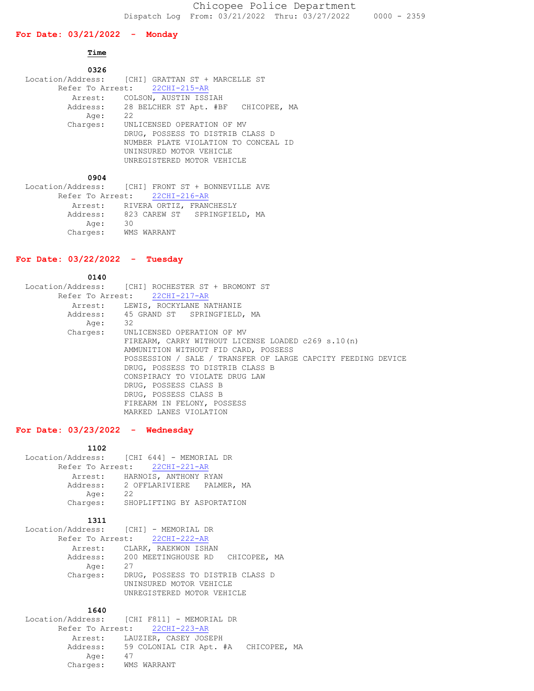### **For Date: 03/21/2022 - Monday**

# **Time**

| 0326     |                                                  |
|----------|--------------------------------------------------|
|          | Location/Address: [CHI] GRATTAN ST + MARCELLE ST |
|          | Refer To Arrest: 22CHI-215-AR                    |
| Arrest:  | COLSON, AUSTIN ISSIAH                            |
|          | Address: 28 BELCHER ST Apt. #BF CHICOPEE, MA     |
| Age:     | 22                                               |
| Charges: | UNLICENSED OPERATION OF MV                       |
|          | DRUG, POSSESS TO DISTRIB CLASS D                 |
|          | NUMBER PLATE VIOLATION TO CONCEAL ID             |
|          | UNINSURED MOTOR VEHICLE                          |
|          | UNREGISTERED MOTOR VEHICLE                       |
|          |                                                  |

 **0904**

| Location/Address: [CHI] FRONT ST + BONNEVILLE AVE |    |             |                                  |  |
|---------------------------------------------------|----|-------------|----------------------------------|--|
| Refer To Arrest: 22CHI-216-AR                     |    |             |                                  |  |
|                                                   |    |             | Arrest: RIVERA ORTIZ, FRANCHESLY |  |
| Address:                                          |    |             | 823 CAREW ST SPRINGFIELD, MA     |  |
| Age:                                              | 30 |             |                                  |  |
| Charges:                                          |    | WMS WARRANT |                                  |  |

### **For Date: 03/22/2022 - Tuesday**

 **0140** Location/Address: [CHI] ROCHESTER ST + BROMONT ST Refer To Arrest: 22CHI-217-AR Arrest: LEWIS, ROCKYLANE NATHANIE Address: 45 GRAND ST SPRINGFIELD, MA<br>Age: 32 Age: Charges: UNLICENSED OPERATION OF MV FIREARM, CARRY WITHOUT LICENSE LOADED c269 s.10(n) AMMUNITION WITHOUT FID CARD, POSSESS POSSESSION / SALE / TRANSFER OF LARGE CAPCITY FEEDING DEVICE DRUG, POSSESS TO DISTRIB CLASS B CONSPIRACY TO VIOLATE DRUG LAW DRUG, POSSESS CLASS B DRUG, POSSESS CLASS B FIREARM IN FELONY, POSSESS MARKED LANES VIOLATION

# **For Date: 03/23/2022 - Wednesday**

### **1102**

|          | Location/Address: [CHI 644] - MEMORIAL DR |
|----------|-------------------------------------------|
|          | Refer To Arrest: 22CHI-221-AR             |
| Arrest:  | HARNOIS, ANTHONY RYAN                     |
| Address: | 2 OFFLARIVIERE PALMER, MA                 |
| Age:     | 22                                        |
| Charges: | SHOPLIFTING BY ASPORTATION                |
|          |                                           |

### **1311**

| Location/Address: [CHI] - MEMORIAL DR     |
|-------------------------------------------|
| Refer To Arrest: 22CHI-222-AR             |
| Arrest: CLARK, RAEKWON ISHAN              |
| Address: 200 MEETINGHOUSE RD CHICOPEE, MA |
| 27                                        |
| DRUG, POSSESS TO DISTRIB CLASS D          |
| UNINSURED MOTOR VEHICLE                   |
| UNREGISTERED MOTOR VEHICLE                |
|                                           |

### **1640**

 Location/Address: [CHI F811] - MEMORIAL DR Refer To Arrest: 22CHI-223-AR Arrest: LAUZIER, CASEY JOSEPH Address: 59 COLONIAL CIR Apt. #A CHICOPEE, MA Age: 47 Charges: WMS WARRANT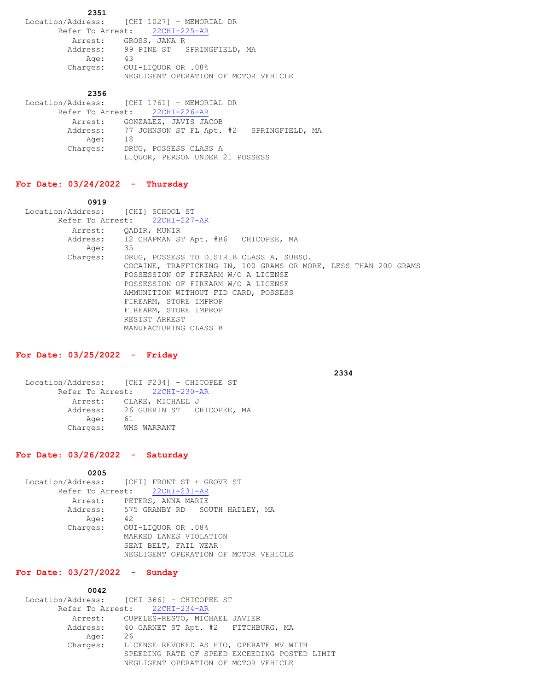**2351** Location/Address: [CHI 1027] - MEMORIAL DR Refer To Arrest: 22CHI-225-AR Arrest: GROSS, JANA R Address: 99 PINE ST SPRINGFIELD, MA Age: 43 Charges: OUI-LIQUOR OR .08% NEGLIGENT OPERATION OF MOTOR VEHICLE

#### **2356**

|      | Location/Address: [CHI 1761] - MEMORIAL DR        |
|------|---------------------------------------------------|
|      | Refer To Arrest: 22CHI-226-AR                     |
|      | Arrest: GONZALEZ, JAVIS JACOB                     |
|      | Address: 77 JOHNSON ST FL Apt. #2 SPRINGFIELD, MA |
| Age: | -18                                               |
|      | Charges: DRUG, POSSESS CLASS A                    |
|      | LIQUOR, PERSON UNDER 21 POSSESS                   |

#### **For Date: 03/24/2022 - Thursday**

 **0919**

 Location/Address: [CHI] SCHOOL ST Refer To Arrest: 22CHI-227-AR Arrest: QADIR, MUNIR Address: 12 CHAPMAN ST Apt. #B6 CHICOPEE, MA Age: 35 Charges: DRUG, POSSESS TO DISTRIB CLASS A, SUBSQ. COCAINE, TRAFFICKING IN, 100 GRAMS OR MORE, LESS THAN 200 GRAMS POSSESSION OF FIREARM W/O A LICENSE POSSESSION OF FIREARM W/O A LICENSE AMMUNITION WITHOUT FID CARD, POSSESS FIREARM, STORE IMPROP FIREARM, STORE IMPROP RESIST ARREST MANUFACTURING CLASS B

## **For Date: 03/25/2022 - Friday**

 **2334**

 Location/Address: [CHI F234] - CHICOPEE ST Refer To Arrest: 22CHI-230-AR Arrest: CLARE, MICHAEL J Address: 26 GUERIN ST CHICOPEE, MA Age: 61 Charges: WMS WARRANT

### **For Date: 03/26/2022 - Saturday**

 **0205**

|      | Location/Address: [CHI] FRONT ST + GROVE ST |
|------|---------------------------------------------|
|      | Refer To Arrest: 22CHI-231-AR               |
|      | Arrest: PETERS, ANNA MARIE                  |
|      | Address: 575 GRANBY RD SOUTH HADLEY, MA     |
| Age: | 42                                          |
|      | Charges: OUI-LIQUOR OR .08%                 |
|      | MARKED LANES VIOLATION                      |
|      | SEAT BELT, FAIL WEAR                        |
|      | NEGLIGENT OPERATION OF MOTOR VEHICLE        |

#### **For Date: 03/27/2022 - Sunday**

 **0042**

|          | Location/Address: [CHI 366] - CHICOPEE ST     |
|----------|-----------------------------------------------|
|          | Refer To Arrest: 22CHI-234-AR                 |
|          | Arrest: CUPELES-RESTO, MICHAEL JAVIER         |
|          | Address: 40 GARNET ST Apt. #2 FITCHBURG, MA   |
| Age:     | -26                                           |
| Charges: | LICENSE REVOKED AS HTO, OPERATE MV WITH       |
|          | SPEEDING RATE OF SPEED EXCEEDING POSTED LIMIT |
|          | NEGLIGENT OPERATION OF MOTOR VEHICLE          |